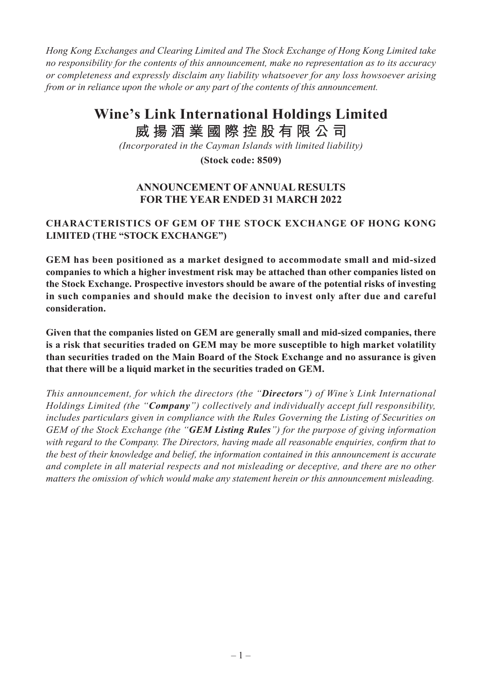*Hong Kong Exchanges and Clearing Limited and The Stock Exchange of Hong Kong Limited take no responsibility for the contents of this announcement, make no representation as to its accuracy or completeness and expressly disclaim any liability whatsoever for any loss howsoever arising from or in reliance upon the whole or any part of the contents of this announcement.*

# **Wine's Link International Holdings Limited**

**威揚酒業國際控股有限公司**

*(Incorporated in the Cayman Islands with limited liability)*

**(Stock code: 8509)**

# **ANNOUNCEMENT OF ANNUAL RESULTS FOR THE YEAR ENDED 31 MARCH 2022**

# **CHARACTERISTICS OF GEM OF THE STOCK EXCHANGE OF HONG KONG LIMITED (THE "STOCK EXCHANGE")**

**GEM has been positioned as a market designed to accommodate small and mid-sized companies to which a higher investment risk may be attached than other companies listed on the Stock Exchange. Prospective investors should be aware of the potential risks of investing in such companies and should make the decision to invest only after due and careful consideration.**

**Given that the companies listed on GEM are generally small and mid-sized companies, there is a risk that securities traded on GEM may be more susceptible to high market volatility than securities traded on the Main Board of the Stock Exchange and no assurance is given that there will be a liquid market in the securities traded on GEM.**

*This announcement, for which the directors (the "Directors") of Wine's Link International Holdings Limited (the "Company") collectively and individually accept full responsibility, includes particulars given in compliance with the Rules Governing the Listing of Securities on GEM of the Stock Exchange (the "GEM Listing Rules") for the purpose of giving information with regard to the Company. The Directors, having made all reasonable enquiries, confirm that to the best of their knowledge and belief, the information contained in this announcement is accurate and complete in all material respects and not misleading or deceptive, and there are no other matters the omission of which would make any statement herein or this announcement misleading.*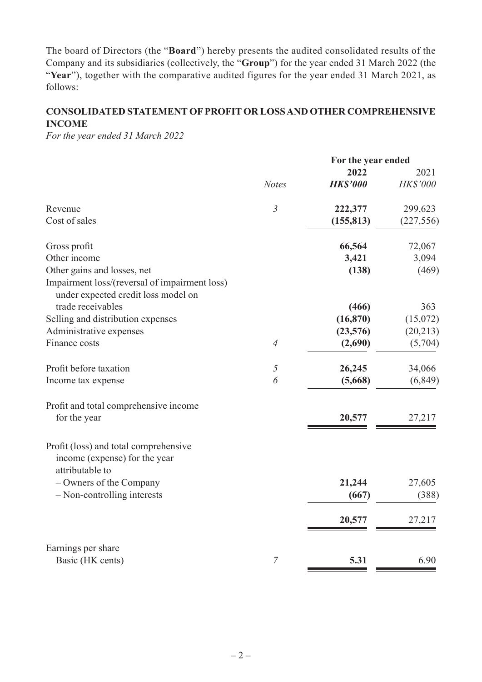The board of Directors (the "**Board**") hereby presents the audited consolidated results of the Company and its subsidiaries (collectively, the "**Group**") for the year ended 31 March 2022 (the "**Year**"), together with the comparative audited figures for the year ended 31 March 2021, as follows:

## **CONSOLIDATED STATEMENT OF PROFIT OR LOSS AND OTHER COMPREHENSIVE INCOME**

*For the year ended 31 March 2022*

|                                                                                           |                | For the year ended |            |
|-------------------------------------------------------------------------------------------|----------------|--------------------|------------|
|                                                                                           |                | 2022               | 2021       |
|                                                                                           | <b>Notes</b>   | <b>HK\$'000</b>    | HK\$'000   |
| Revenue                                                                                   | $\mathfrak{Z}$ | 222,377            | 299,623    |
| Cost of sales                                                                             |                | (155, 813)         | (227, 556) |
| Gross profit                                                                              |                | 66,564             | 72,067     |
| Other income                                                                              |                | 3,421              | 3,094      |
| Other gains and losses, net                                                               |                | (138)              | (469)      |
| Impairment loss/(reversal of impairment loss)<br>under expected credit loss model on      |                |                    |            |
| trade receivables                                                                         |                | (466)              | 363        |
| Selling and distribution expenses                                                         |                | (16, 870)          | (15,072)   |
| Administrative expenses                                                                   |                | (23, 576)          | (20, 213)  |
| Finance costs                                                                             | $\overline{A}$ | (2,690)            | (5,704)    |
| Profit before taxation                                                                    | 5              | 26,245             | 34,066     |
| Income tax expense                                                                        | 6              | (5,668)            | (6, 849)   |
| Profit and total comprehensive income                                                     |                |                    |            |
| for the year                                                                              |                | 20,577             | 27,217     |
| Profit (loss) and total comprehensive<br>income (expense) for the year<br>attributable to |                |                    |            |
| - Owners of the Company                                                                   |                | 21,244             | 27,605     |
| - Non-controlling interests                                                               |                | (667)              | (388)      |
|                                                                                           |                | 20,577             | 27,217     |
| Earnings per share                                                                        |                |                    |            |
| Basic (HK cents)                                                                          | $\overline{7}$ | 5.31               | 6.90       |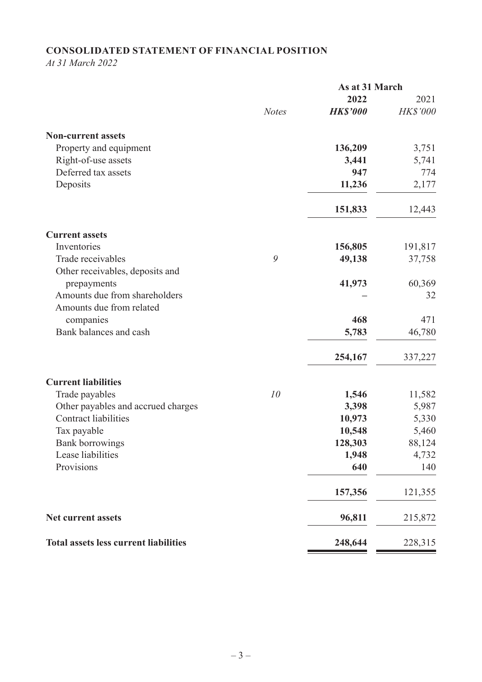# **CONSOLIDATED STATEMENT OF FINANCIAL POSITION**

*At 31 March 2022*

|                                                |              | As at 31 March  |          |
|------------------------------------------------|--------------|-----------------|----------|
|                                                |              | 2022            | 2021     |
|                                                | <b>Notes</b> | <b>HK\$'000</b> | HK\$'000 |
| <b>Non-current assets</b>                      |              |                 |          |
| Property and equipment                         |              | 136,209         | 3,751    |
| Right-of-use assets                            |              | 3,441           | 5,741    |
| Deferred tax assets                            |              | 947             | 774      |
| Deposits                                       |              | 11,236          | 2,177    |
|                                                |              | 151,833         | 12,443   |
| <b>Current assets</b>                          |              |                 |          |
| Inventories                                    |              | 156,805         | 191,817  |
| Trade receivables                              | 9            | 49,138          | 37,758   |
| Other receivables, deposits and<br>prepayments |              | 41,973          | 60,369   |
| Amounts due from shareholders                  |              |                 | 32       |
| Amounts due from related                       |              |                 |          |
| companies                                      |              | 468             | 471      |
| Bank balances and cash                         |              | 5,783           | 46,780   |
|                                                |              | 254,167         | 337,227  |
| <b>Current liabilities</b>                     |              |                 |          |
| Trade payables                                 | 10           | 1,546           | 11,582   |
| Other payables and accrued charges             |              | 3,398           | 5,987    |
| <b>Contract liabilities</b>                    |              | 10,973          | 5,330    |
| Tax payable                                    |              | 10,548          | 5,460    |
| <b>Bank borrowings</b>                         |              | 128,303         | 88,124   |
| Lease liabilities                              |              | 1,948           | 4,732    |
| Provisions                                     |              | 640             | 140      |
|                                                |              | 157,356         | 121,355  |
| <b>Net current assets</b>                      |              | 96,811          | 215,872  |
| <b>Total assets less current liabilities</b>   |              | 248,644         | 228,315  |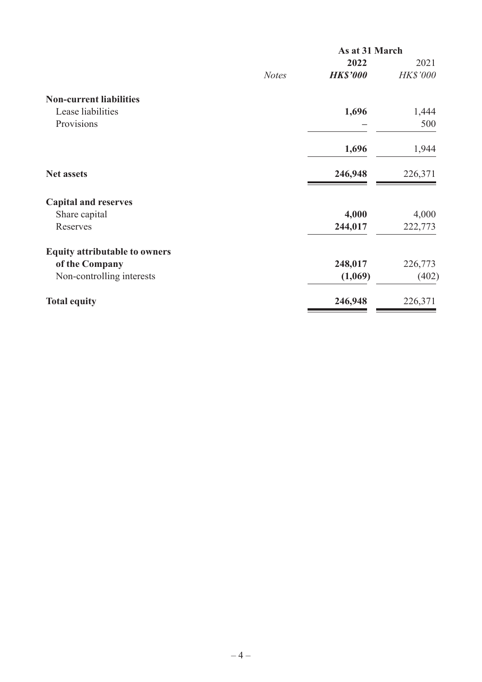|              | As at 31 March  |                 |
|--------------|-----------------|-----------------|
|              | 2022            | 2021            |
| <b>Notes</b> | <b>HK\$'000</b> | <b>HK\$'000</b> |
|              |                 |                 |
|              | 1,696           | 1,444           |
|              |                 | 500             |
|              | 1,696           | 1,944           |
|              | 246,948         | 226,371         |
|              |                 |                 |
|              |                 | 4,000           |
|              | 244,017         | 222,773         |
|              |                 |                 |
|              | 248,017         | 226,773         |
|              | (1,069)         | (402)           |
|              | 246,948         | 226,371         |
|              |                 | 4,000           |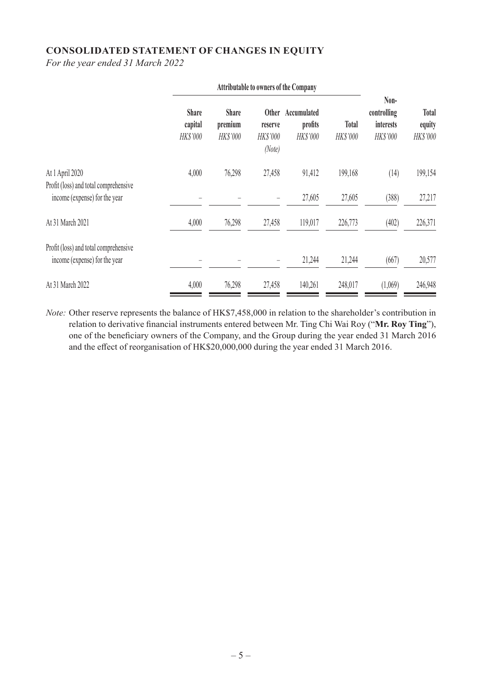## **CONSOLIDATED STATEMENT OF CHANGES IN EQUITY**

*For the year ended 31 March 2022*

|                                                                        |                                            |                                     |                                               | <b>Attributable to owners of the Company</b> |                          |                                              |                                    |
|------------------------------------------------------------------------|--------------------------------------------|-------------------------------------|-----------------------------------------------|----------------------------------------------|--------------------------|----------------------------------------------|------------------------------------|
|                                                                        | <b>Share</b><br>capital<br><b>HK\$'000</b> | <b>Share</b><br>premium<br>HK\$'000 | <b>Other</b><br>reserve<br>HK\$'000<br>(Note) | Accumulated<br>profits<br><b>HK\$'000</b>    | <b>Total</b><br>HK\$'000 | Non-<br>controlling<br>interests<br>HK\$'000 | <b>Total</b><br>equity<br>HK\$'000 |
| At 1 April 2020<br>Profit (loss) and total comprehensive               | 4,000                                      | 76,298                              | 27,458                                        | 91,412                                       | 199,168                  | (14)                                         | 199,154                            |
| income (expense) for the year                                          |                                            |                                     | $\overline{\phantom{0}}$                      | 27,605                                       | 27,605                   | (388)                                        | 27,217                             |
| At 31 March 2021                                                       | 4,000                                      | 76,298                              | 27,458                                        | 119,017                                      | 226,773                  | (402)                                        | 226,371                            |
| Profit (loss) and total comprehensive<br>income (expense) for the year |                                            |                                     | -                                             | 21,244                                       | 21,244                   | (667)                                        | 20,577                             |
| At 31 March 2022                                                       | 4,000                                      | 76,298                              | 27,458                                        | 140,261                                      | 248,017                  | (1,069)                                      | 246,948                            |

*Note:* Other reserve represents the balance of HK\$7,458,000 in relation to the shareholder's contribution in relation to derivative financial instruments entered between Mr. Ting Chi Wai Roy ("**Mr. Roy Ting**"), one of the beneficiary owners of the Company, and the Group during the year ended 31 March 2016 and the effect of reorganisation of HK\$20,000,000 during the year ended 31 March 2016.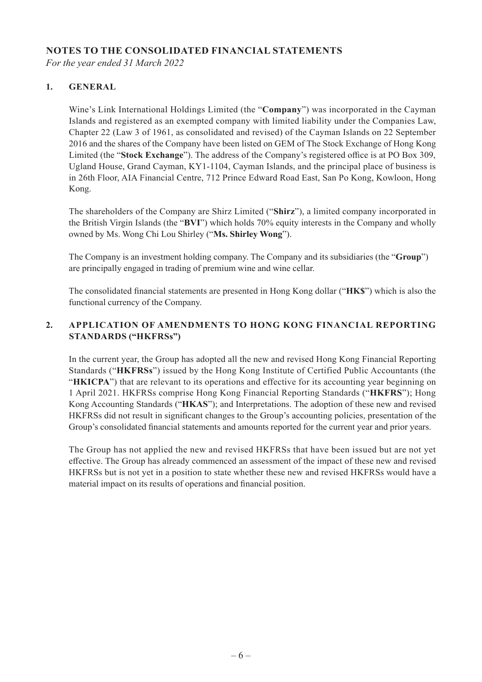## **NOTES TO THE CONSOLIDATED FINANCIAL STATEMENTS**

*For the year ended 31 March 2022*

## **1. GENERAL**

Wine's Link International Holdings Limited (the "**Company**") was incorporated in the Cayman Islands and registered as an exempted company with limited liability under the Companies Law, Chapter 22 (Law 3 of 1961, as consolidated and revised) of the Cayman Islands on 22 September 2016 and the shares of the Company have been listed on GEM of The Stock Exchange of Hong Kong Limited (the "**Stock Exchange**"). The address of the Company's registered office is at PO Box 309, Ugland House, Grand Cayman, KY1-1104, Cayman Islands, and the principal place of business is in 26th Floor, AIA Financial Centre, 712 Prince Edward Road East, San Po Kong, Kowloon, Hong Kong.

The shareholders of the Company are Shirz Limited ("**Shirz**"), a limited company incorporated in the British Virgin Islands (the "**BVI**") which holds 70% equity interests in the Company and wholly owned by Ms. Wong Chi Lou Shirley ("**Ms. Shirley Wong**").

The Company is an investment holding company. The Company and its subsidiaries (the "**Group**") are principally engaged in trading of premium wine and wine cellar.

The consolidated financial statements are presented in Hong Kong dollar ("**HK\$**") which is also the functional currency of the Company.

## **2. APPLICATION OF AMENDMENTS TO HONG KONG FINANCIAL REPORTING STANDARDS ("HKFRSs")**

In the current year, the Group has adopted all the new and revised Hong Kong Financial Reporting Standards ("**HKFRSs**") issued by the Hong Kong Institute of Certified Public Accountants (the "**HKICPA**") that are relevant to its operations and effective for its accounting year beginning on 1 April 2021. HKFRSs comprise Hong Kong Financial Reporting Standards ("**HKFRS**"); Hong Kong Accounting Standards ("**HKAS**"); and Interpretations. The adoption of these new and revised HKFRSs did not result in significant changes to the Group's accounting policies, presentation of the Group's consolidated financial statements and amounts reported for the current year and prior years.

The Group has not applied the new and revised HKFRSs that have been issued but are not yet effective. The Group has already commenced an assessment of the impact of these new and revised HKFRSs but is not yet in a position to state whether these new and revised HKFRSs would have a material impact on its results of operations and financial position.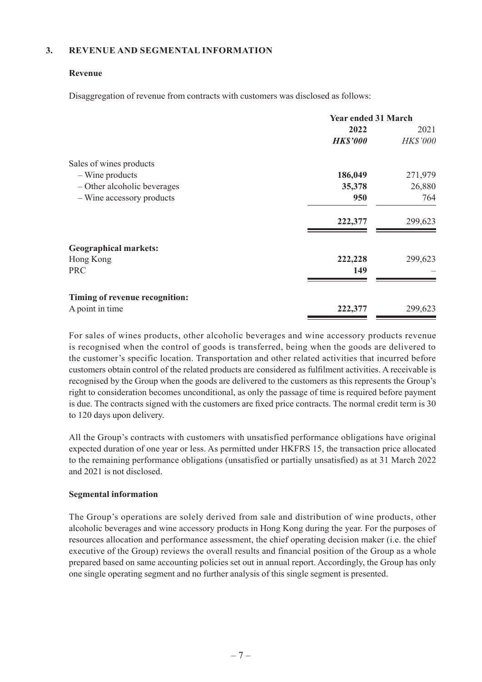#### **3. REVENUE AND SEGMENTAL INFORMATION**

#### **Revenue**

Disaggregation of revenue from contracts with customers was disclosed as follows:

|                                | <b>Year ended 31 March</b> |                 |
|--------------------------------|----------------------------|-----------------|
|                                | 2022                       | 2021            |
|                                | <b>HK\$'000</b>            | <b>HK\$'000</b> |
| Sales of wines products        |                            |                 |
| $-$ Wine products              | 186,049                    | 271,979         |
| - Other alcoholic beverages    | 35,378                     | 26,880          |
| - Wine accessory products      | 950                        | 764             |
|                                | 222,377                    | 299,623         |
| <b>Geographical markets:</b>   |                            |                 |
| Hong Kong                      | 222,228                    | 299,623         |
| <b>PRC</b>                     | 149                        |                 |
| Timing of revenue recognition: |                            |                 |
| A point in time                | 222,377                    | 299,623         |

For sales of wines products, other alcoholic beverages and wine accessory products revenue is recognised when the control of goods is transferred, being when the goods are delivered to the customer's specific location. Transportation and other related activities that incurred before customers obtain control of the related products are considered as fulfilment activities. A receivable is recognised by the Group when the goods are delivered to the customers as this represents the Group's right to consideration becomes unconditional, as only the passage of time is required before payment is due. The contracts signed with the customers are fixed price contracts. The normal credit term is 30 to 120 days upon delivery.

All the Group's contracts with customers with unsatisfied performance obligations have original expected duration of one year or less. As permitted under HKFRS 15, the transaction price allocated to the remaining performance obligations (unsatisfied or partially unsatisfied) as at 31 March 2022 and 2021 is not disclosed.

#### **Segmental information**

The Group's operations are solely derived from sale and distribution of wine products, other alcoholic beverages and wine accessory products in Hong Kong during the year. For the purposes of resources allocation and performance assessment, the chief operating decision maker (i.e. the chief executive of the Group) reviews the overall results and financial position of the Group as a whole prepared based on same accounting policies set out in annual report. Accordingly, the Group has only one single operating segment and no further analysis of this single segment is presented.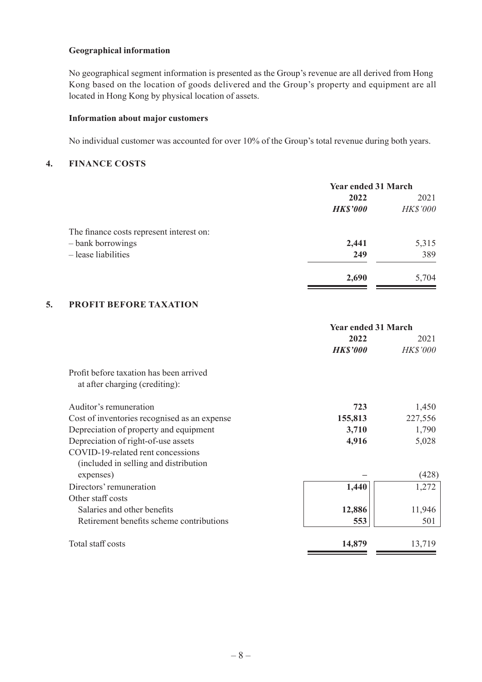#### **Geographical information**

No geographical segment information is presented as the Group's revenue are all derived from Hong Kong based on the location of goods delivered and the Group's property and equipment are all located in Hong Kong by physical location of assets.

#### **Information about major customers**

No individual customer was accounted for over 10% of the Group's total revenue during both years.

#### **4. FINANCE COSTS**

|                                          | <b>Year ended 31 March</b> |          |
|------------------------------------------|----------------------------|----------|
|                                          | 2022                       | 2021     |
|                                          | <b>HK\$'000</b>            | HK\$'000 |
| The finance costs represent interest on: |                            |          |
| - bank borrowings                        | 2,441                      | 5,315    |
| - lease liabilities                      | 249                        | 389      |
|                                          | 2,690                      | 5,704    |

#### **5. PROFIT BEFORE TAXATION**

|                                              | <b>Year ended 31 March</b> |                 |
|----------------------------------------------|----------------------------|-----------------|
|                                              | 2022                       | 2021            |
|                                              | <b>HK\$'000</b>            | <b>HK\$'000</b> |
| Profit before taxation has been arrived      |                            |                 |
| at after charging (crediting):               |                            |                 |
| Auditor's remuneration                       | 723                        | 1,450           |
| Cost of inventories recognised as an expense | 155,813                    | 227,556         |
| Depreciation of property and equipment       | 3,710                      | 1,790           |
| Depreciation of right-of-use assets          | 4,916                      | 5,028           |
| COVID-19-related rent concessions            |                            |                 |
| (included in selling and distribution)       |                            |                 |
| expenses)                                    |                            | (428)           |
| Directors' remuneration                      | 1,440                      | 1,272           |
| Other staff costs                            |                            |                 |
| Salaries and other benefits                  | 12,886                     | 11,946          |
| Retirement benefits scheme contributions     | 553                        | 501             |
| Total staff costs                            | 14,879                     | 13,719          |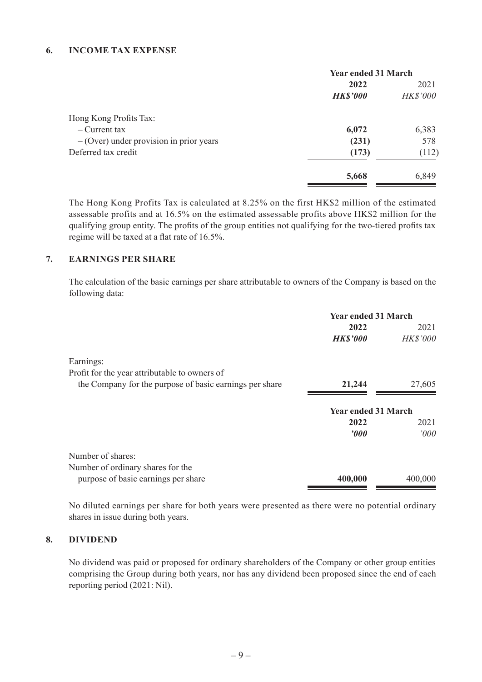#### **6. INCOME TAX EXPENSE**

|                                                 | <b>Year ended 31 March</b> |                 |
|-------------------------------------------------|----------------------------|-----------------|
|                                                 | 2022                       | 2021            |
|                                                 | <b>HK\$'000</b>            | <b>HK\$'000</b> |
| Hong Kong Profits Tax:                          |                            |                 |
| $-$ Current tax                                 | 6,072                      | 6,383           |
| $-(\text{Over})$ under provision in prior years | (231)                      | 578             |
| Deferred tax credit                             | (173)                      | (112)           |
|                                                 | 5,668                      | 6,849           |

The Hong Kong Profits Tax is calculated at 8.25% on the first HK\$2 million of the estimated assessable profits and at 16.5% on the estimated assessable profits above HK\$2 million for the qualifying group entity. The profits of the group entities not qualifying for the two-tiered profits tax regime will be taxed at a flat rate of 16.5%.

#### **7. EARNINGS PER SHARE**

The calculation of the basic earnings per share attributable to owners of the Company is based on the following data:

|                                                         | <b>Year ended 31 March</b> |                 |
|---------------------------------------------------------|----------------------------|-----------------|
|                                                         | 2022                       | 2021            |
|                                                         | <b>HK\$'000</b>            | <b>HK\$'000</b> |
| Earnings:                                               |                            |                 |
| Profit for the year attributable to owners of           |                            |                 |
| the Company for the purpose of basic earnings per share | 21,244                     | 27,605          |
|                                                         | <b>Year ended 31 March</b> |                 |
|                                                         | 2022                       | 2021            |
|                                                         | $\boldsymbol{v}$           | 000'            |
| Number of shares:                                       |                            |                 |
| Number of ordinary shares for the                       |                            |                 |
| purpose of basic earnings per share                     | 400,000                    | 400,000         |

No diluted earnings per share for both years were presented as there were no potential ordinary shares in issue during both years.

#### **8. DIVIDEND**

No dividend was paid or proposed for ordinary shareholders of the Company or other group entities comprising the Group during both years, nor has any dividend been proposed since the end of each reporting period (2021: Nil).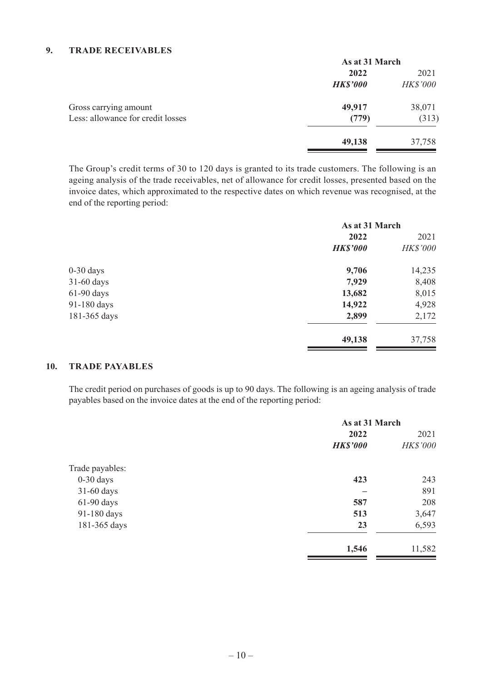#### **9. TRADE RECEIVABLES**

|                                   | As at 31 March  |                 |
|-----------------------------------|-----------------|-----------------|
|                                   | 2022            | 2021            |
|                                   | <b>HK\$'000</b> | <b>HK\$'000</b> |
| Gross carrying amount             | 49,917          | 38,071          |
| Less: allowance for credit losses | (779)           | (313)           |
|                                   | 49,138          | 37,758          |

The Group's credit terms of 30 to 120 days is granted to its trade customers. The following is an ageing analysis of the trade receivables, net of allowance for credit losses, presented based on the invoice dates, which approximated to the respective dates on which revenue was recognised, at the end of the reporting period:

|              | As at 31 March  |          |
|--------------|-----------------|----------|
|              | 2022            | 2021     |
|              | <b>HK\$'000</b> | HK\$'000 |
| $0-30$ days  | 9,706           | 14,235   |
| 31-60 days   | 7,929           | 8,408    |
| $61-90$ days | 13,682          | 8,015    |
| 91-180 days  | 14,922          | 4,928    |
| 181-365 days | 2,899           | 2,172    |
|              | 49,138          | 37,758   |

#### **10. TRADE PAYABLES**

The credit period on purchases of goods is up to 90 days. The following is an ageing analysis of trade payables based on the invoice dates at the end of the reporting period:

|                 | As at 31 March  |          |
|-----------------|-----------------|----------|
|                 | 2022            | 2021     |
|                 | <b>HK\$'000</b> | HK\$'000 |
| Trade payables: |                 |          |
| $0-30$ days     | 423             | 243      |
| 31-60 days      |                 | 891      |
| $61-90$ days    | 587             | 208      |
| 91-180 days     | 513             | 3,647    |
| 181-365 days    | 23              | 6,593    |
|                 | 1,546           | 11,582   |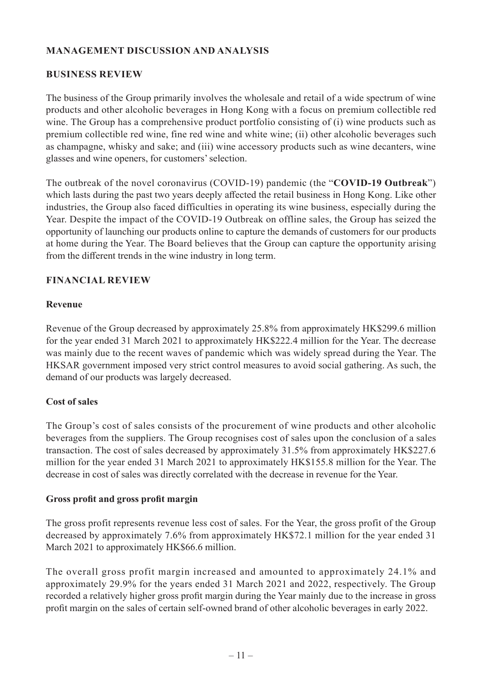# **MANAGEMENT DISCUSSION AND ANALYSIS**

## **BUSINESS REVIEW**

The business of the Group primarily involves the wholesale and retail of a wide spectrum of wine products and other alcoholic beverages in Hong Kong with a focus on premium collectible red wine. The Group has a comprehensive product portfolio consisting of (i) wine products such as premium collectible red wine, fine red wine and white wine; (ii) other alcoholic beverages such as champagne, whisky and sake; and (iii) wine accessory products such as wine decanters, wine glasses and wine openers, for customers' selection.

The outbreak of the novel coronavirus (COVID-19) pandemic (the "**COVID-19 Outbreak**") which lasts during the past two years deeply affected the retail business in Hong Kong. Like other industries, the Group also faced difficulties in operating its wine business, especially during the Year. Despite the impact of the COVID-19 Outbreak on offline sales, the Group has seized the opportunity of launching our products online to capture the demands of customers for our products at home during the Year. The Board believes that the Group can capture the opportunity arising from the different trends in the wine industry in long term.

# **FINANCIAL REVIEW**

## **Revenue**

Revenue of the Group decreased by approximately 25.8% from approximately HK\$299.6 million for the year ended 31 March 2021 to approximately HK\$222.4 million for the Year. The decrease was mainly due to the recent waves of pandemic which was widely spread during the Year. The HKSAR government imposed very strict control measures to avoid social gathering. As such, the demand of our products was largely decreased.

## **Cost of sales**

The Group's cost of sales consists of the procurement of wine products and other alcoholic beverages from the suppliers. The Group recognises cost of sales upon the conclusion of a sales transaction. The cost of sales decreased by approximately 31.5% from approximately HK\$227.6 million for the year ended 31 March 2021 to approximately HK\$155.8 million for the Year. The decrease in cost of sales was directly correlated with the decrease in revenue for the Year.

## **Gross profit and gross profit margin**

The gross profit represents revenue less cost of sales. For the Year, the gross profit of the Group decreased by approximately 7.6% from approximately HK\$72.1 million for the year ended 31 March 2021 to approximately HK\$66.6 million.

The overall gross profit margin increased and amounted to approximately 24.1% and approximately 29.9% for the years ended 31 March 2021 and 2022, respectively. The Group recorded a relatively higher gross profit margin during the Year mainly due to the increase in gross profit margin on the sales of certain self-owned brand of other alcoholic beverages in early 2022.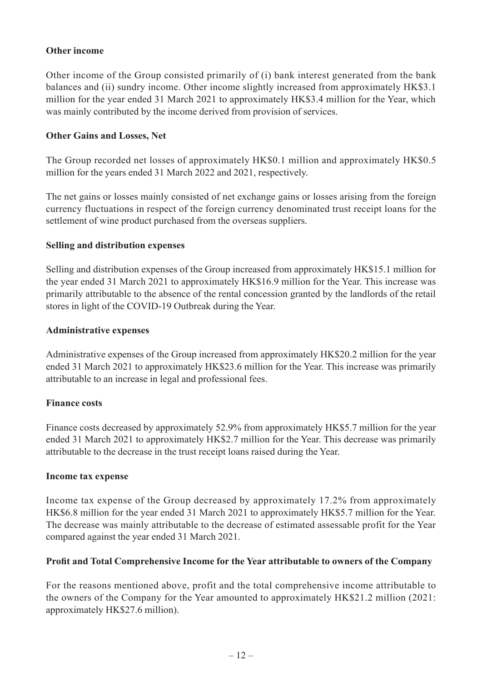## **Other income**

Other income of the Group consisted primarily of (i) bank interest generated from the bank balances and (ii) sundry income. Other income slightly increased from approximately HK\$3.1 million for the year ended 31 March 2021 to approximately HK\$3.4 million for the Year, which was mainly contributed by the income derived from provision of services.

## **Other Gains and Losses, Net**

The Group recorded net losses of approximately HK\$0.1 million and approximately HK\$0.5 million for the years ended 31 March 2022 and 2021, respectively.

The net gains or losses mainly consisted of net exchange gains or losses arising from the foreign currency fluctuations in respect of the foreign currency denominated trust receipt loans for the settlement of wine product purchased from the overseas suppliers.

## **Selling and distribution expenses**

Selling and distribution expenses of the Group increased from approximately HK\$15.1 million for the year ended 31 March 2021 to approximately HK\$16.9 million for the Year. This increase was primarily attributable to the absence of the rental concession granted by the landlords of the retail stores in light of the COVID-19 Outbreak during the Year.

## **Administrative expenses**

Administrative expenses of the Group increased from approximately HK\$20.2 million for the year ended 31 March 2021 to approximately HK\$23.6 million for the Year. This increase was primarily attributable to an increase in legal and professional fees.

## **Finance costs**

Finance costs decreased by approximately 52.9% from approximately HK\$5.7 million for the year ended 31 March 2021 to approximately HK\$2.7 million for the Year. This decrease was primarily attributable to the decrease in the trust receipt loans raised during the Year.

#### **Income tax expense**

Income tax expense of the Group decreased by approximately 17.2% from approximately HK\$6.8 million for the year ended 31 March 2021 to approximately HK\$5.7 million for the Year. The decrease was mainly attributable to the decrease of estimated assessable profit for the Year compared against the year ended 31 March 2021.

## **Profit and Total Comprehensive Income for the Year attributable to owners of the Company**

For the reasons mentioned above, profit and the total comprehensive income attributable to the owners of the Company for the Year amounted to approximately HK\$21.2 million (2021: approximately HK\$27.6 million).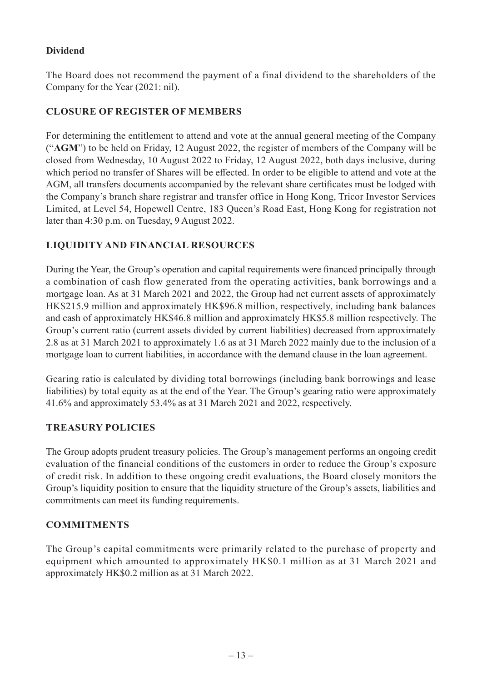# **Dividend**

The Board does not recommend the payment of a final dividend to the shareholders of the Company for the Year (2021: nil).

## **CLOSURE OF REGISTER OF MEMBERS**

For determining the entitlement to attend and vote at the annual general meeting of the Company ("**AGM**") to be held on Friday, 12 August 2022, the register of members of the Company will be closed from Wednesday, 10 August 2022 to Friday, 12 August 2022, both days inclusive, during which period no transfer of Shares will be effected. In order to be eligible to attend and vote at the AGM, all transfers documents accompanied by the relevant share certificates must be lodged with the Company's branch share registrar and transfer office in Hong Kong, Tricor Investor Services Limited, at Level 54, Hopewell Centre, 183 Queen's Road East, Hong Kong for registration not later than 4:30 p.m. on Tuesday, 9 August 2022.

# **LIQUIDITY AND FINANCIAL RESOURCES**

During the Year, the Group's operation and capital requirements were financed principally through a combination of cash flow generated from the operating activities, bank borrowings and a mortgage loan. As at 31 March 2021 and 2022, the Group had net current assets of approximately HK\$215.9 million and approximately HK\$96.8 million, respectively, including bank balances and cash of approximately HK\$46.8 million and approximately HK\$5.8 million respectively. The Group's current ratio (current assets divided by current liabilities) decreased from approximately 2.8 as at 31 March 2021 to approximately 1.6 as at 31 March 2022 mainly due to the inclusion of a mortgage loan to current liabilities, in accordance with the demand clause in the loan agreement.

Gearing ratio is calculated by dividing total borrowings (including bank borrowings and lease liabilities) by total equity as at the end of the Year. The Group's gearing ratio were approximately 41.6% and approximately 53.4% as at 31 March 2021 and 2022, respectively.

## **TREASURY POLICIES**

The Group adopts prudent treasury policies. The Group's management performs an ongoing credit evaluation of the financial conditions of the customers in order to reduce the Group's exposure of credit risk. In addition to these ongoing credit evaluations, the Board closely monitors the Group's liquidity position to ensure that the liquidity structure of the Group's assets, liabilities and commitments can meet its funding requirements.

## **COMMITMENTS**

The Group's capital commitments were primarily related to the purchase of property and equipment which amounted to approximately HK\$0.1 million as at 31 March 2021 and approximately HK\$0.2 million as at 31 March 2022.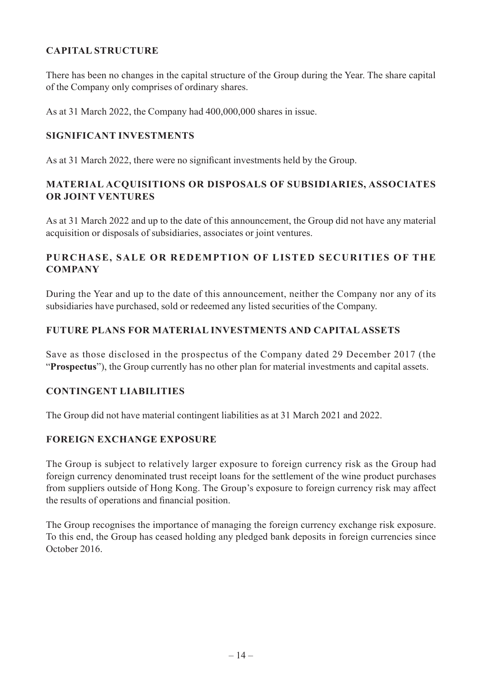# **CAPITAL STRUCTURE**

There has been no changes in the capital structure of the Group during the Year. The share capital of the Company only comprises of ordinary shares.

As at 31 March 2022, the Company had 400,000,000 shares in issue.

# **SIGNIFICANT INVESTMENTS**

As at 31 March 2022, there were no significant investments held by the Group.

# **MATERIAL ACQUISITIONS OR DISPOSALS OF SUBSIDIARIES, ASSOCIATES OR JOINT VENTURES**

As at 31 March 2022 and up to the date of this announcement, the Group did not have any material acquisition or disposals of subsidiaries, associates or joint ventures.

# **PURCHASE, SALE OR REDEMPTION OF LISTED SECURITIES OF THE COMPANY**

During the Year and up to the date of this announcement, neither the Company nor any of its subsidiaries have purchased, sold or redeemed any listed securities of the Company.

# **FUTURE PLANS FOR MATERIAL INVESTMENTS AND CAPITAL ASSETS**

Save as those disclosed in the prospectus of the Company dated 29 December 2017 (the "**Prospectus**"), the Group currently has no other plan for material investments and capital assets.

# **CONTINGENT LIABILITIES**

The Group did not have material contingent liabilities as at 31 March 2021 and 2022.

# **FOREIGN EXCHANGE EXPOSURE**

The Group is subject to relatively larger exposure to foreign currency risk as the Group had foreign currency denominated trust receipt loans for the settlement of the wine product purchases from suppliers outside of Hong Kong. The Group's exposure to foreign currency risk may affect the results of operations and financial position.

The Group recognises the importance of managing the foreign currency exchange risk exposure. To this end, the Group has ceased holding any pledged bank deposits in foreign currencies since October 2016.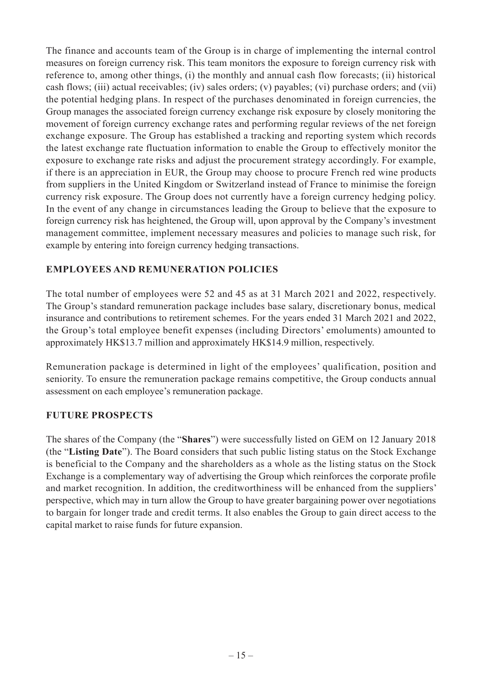The finance and accounts team of the Group is in charge of implementing the internal control measures on foreign currency risk. This team monitors the exposure to foreign currency risk with reference to, among other things, (i) the monthly and annual cash flow forecasts; (ii) historical cash flows; (iii) actual receivables; (iv) sales orders; (v) payables; (vi) purchase orders; and (vii) the potential hedging plans. In respect of the purchases denominated in foreign currencies, the Group manages the associated foreign currency exchange risk exposure by closely monitoring the movement of foreign currency exchange rates and performing regular reviews of the net foreign exchange exposure. The Group has established a tracking and reporting system which records the latest exchange rate fluctuation information to enable the Group to effectively monitor the exposure to exchange rate risks and adjust the procurement strategy accordingly. For example, if there is an appreciation in EUR, the Group may choose to procure French red wine products from suppliers in the United Kingdom or Switzerland instead of France to minimise the foreign currency risk exposure. The Group does not currently have a foreign currency hedging policy. In the event of any change in circumstances leading the Group to believe that the exposure to foreign currency risk has heightened, the Group will, upon approval by the Company's investment management committee, implement necessary measures and policies to manage such risk, for example by entering into foreign currency hedging transactions.

# **EMPLOYEES AND REMUNERATION POLICIES**

The total number of employees were 52 and 45 as at 31 March 2021 and 2022, respectively. The Group's standard remuneration package includes base salary, discretionary bonus, medical insurance and contributions to retirement schemes. For the years ended 31 March 2021 and 2022, the Group's total employee benefit expenses (including Directors' emoluments) amounted to approximately HK\$13.7 million and approximately HK\$14.9 million, respectively.

Remuneration package is determined in light of the employees' qualification, position and seniority. To ensure the remuneration package remains competitive, the Group conducts annual assessment on each employee's remuneration package.

# **FUTURE PROSPECTS**

The shares of the Company (the "**Shares**") were successfully listed on GEM on 12 January 2018 (the "**Listing Date**"). The Board considers that such public listing status on the Stock Exchange is beneficial to the Company and the shareholders as a whole as the listing status on the Stock Exchange is a complementary way of advertising the Group which reinforces the corporate profile and market recognition. In addition, the creditworthiness will be enhanced from the suppliers' perspective, which may in turn allow the Group to have greater bargaining power over negotiations to bargain for longer trade and credit terms. It also enables the Group to gain direct access to the capital market to raise funds for future expansion.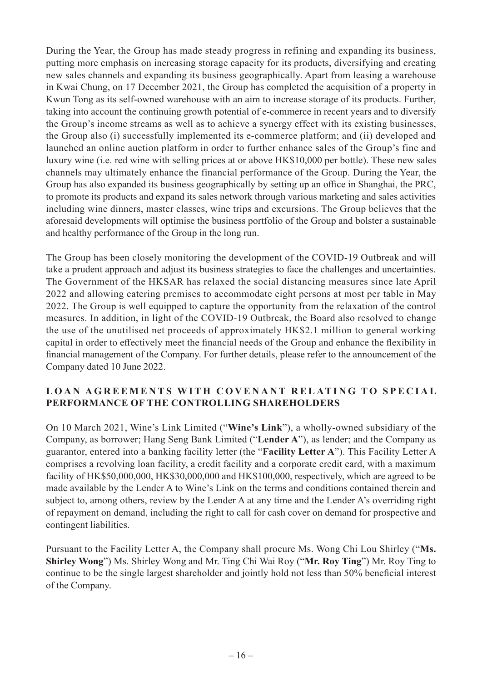During the Year, the Group has made steady progress in refining and expanding its business, putting more emphasis on increasing storage capacity for its products, diversifying and creating new sales channels and expanding its business geographically. Apart from leasing a warehouse in Kwai Chung, on 17 December 2021, the Group has completed the acquisition of a property in Kwun Tong as its self-owned warehouse with an aim to increase storage of its products. Further, taking into account the continuing growth potential of e-commerce in recent years and to diversify the Group's income streams as well as to achieve a synergy effect with its existing businesses, the Group also (i) successfully implemented its e-commerce platform; and (ii) developed and launched an online auction platform in order to further enhance sales of the Group's fine and luxury wine (i.e. red wine with selling prices at or above HK\$10,000 per bottle). These new sales channels may ultimately enhance the financial performance of the Group. During the Year, the Group has also expanded its business geographically by setting up an office in Shanghai, the PRC, to promote its products and expand its sales network through various marketing and sales activities including wine dinners, master classes, wine trips and excursions. The Group believes that the aforesaid developments will optimise the business portfolio of the Group and bolster a sustainable and healthy performance of the Group in the long run.

The Group has been closely monitoring the development of the COVID-19 Outbreak and will take a prudent approach and adjust its business strategies to face the challenges and uncertainties. The Government of the HKSAR has relaxed the social distancing measures since late April 2022 and allowing catering premises to accommodate eight persons at most per table in May 2022. The Group is well equipped to capture the opportunity from the relaxation of the control measures. In addition, in light of the COVID-19 Outbreak, the Board also resolved to change the use of the unutilised net proceeds of approximately HK\$2.1 million to general working capital in order to effectively meet the financial needs of the Group and enhance the flexibility in financial management of the Company. For further details, please refer to the announcement of the Company dated 10 June 2022.

# **LOAN AGREEMENTS WITH COVENANT RELATING TO SPECIAL PERFORMANCE OF THE CONTROLLING SHAREHOLDERS**

On 10 March 2021, Wine's Link Limited ("**Wine's Link**"), a wholly-owned subsidiary of the Company, as borrower; Hang Seng Bank Limited ("**Lender A**"), as lender; and the Company as guarantor, entered into a banking facility letter (the "**Facility Letter A**"). This Facility Letter A comprises a revolving loan facility, a credit facility and a corporate credit card, with a maximum facility of HK\$50,000,000, HK\$30,000,000 and HK\$100,000, respectively, which are agreed to be made available by the Lender A to Wine's Link on the terms and conditions contained therein and subject to, among others, review by the Lender A at any time and the Lender A's overriding right of repayment on demand, including the right to call for cash cover on demand for prospective and contingent liabilities.

Pursuant to the Facility Letter A, the Company shall procure Ms. Wong Chi Lou Shirley ("**Ms. Shirley Wong**") Ms. Shirley Wong and Mr. Ting Chi Wai Roy ("**Mr. Roy Ting**") Mr. Roy Ting to continue to be the single largest shareholder and jointly hold not less than 50% beneficial interest of the Company.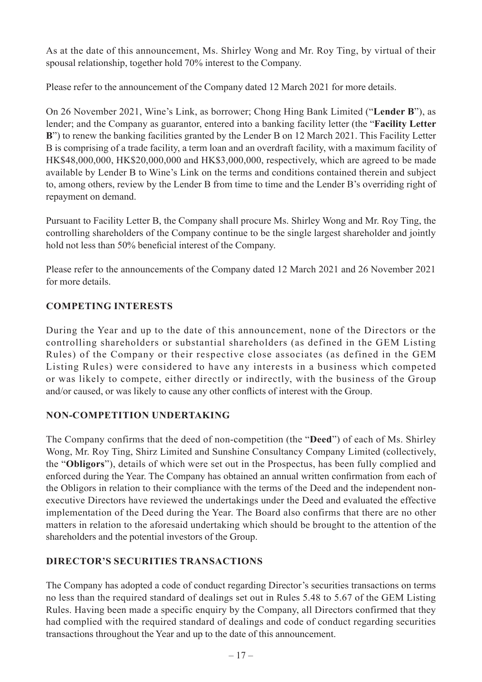As at the date of this announcement, Ms. Shirley Wong and Mr. Roy Ting, by virtual of their spousal relationship, together hold 70% interest to the Company.

Please refer to the announcement of the Company dated 12 March 2021 for more details.

On 26 November 2021, Wine's Link, as borrower; Chong Hing Bank Limited ("**Lender B**"), as lender; and the Company as guarantor, entered into a banking facility letter (the "**Facility Letter B**") to renew the banking facilities granted by the Lender B on 12 March 2021. This Facility Letter B is comprising of a trade facility, a term loan and an overdraft facility, with a maximum facility of HK\$48,000,000, HK\$20,000,000 and HK\$3,000,000, respectively, which are agreed to be made available by Lender B to Wine's Link on the terms and conditions contained therein and subject to, among others, review by the Lender B from time to time and the Lender B's overriding right of repayment on demand.

Pursuant to Facility Letter B, the Company shall procure Ms. Shirley Wong and Mr. Roy Ting, the controlling shareholders of the Company continue to be the single largest shareholder and jointly hold not less than 50% beneficial interest of the Company.

Please refer to the announcements of the Company dated 12 March 2021 and 26 November 2021 for more details.

# **COMPETING INTERESTS**

During the Year and up to the date of this announcement, none of the Directors or the controlling shareholders or substantial shareholders (as defined in the GEM Listing Rules) of the Company or their respective close associates (as defined in the GEM Listing Rules) were considered to have any interests in a business which competed or was likely to compete, either directly or indirectly, with the business of the Group and/or caused, or was likely to cause any other conflicts of interest with the Group.

# **NON-COMPETITION UNDERTAKING**

The Company confirms that the deed of non-competition (the "**Deed**") of each of Ms. Shirley Wong, Mr. Roy Ting, Shirz Limited and Sunshine Consultancy Company Limited (collectively, the "**Obligors**"), details of which were set out in the Prospectus, has been fully complied and enforced during the Year. The Company has obtained an annual written confirmation from each of the Obligors in relation to their compliance with the terms of the Deed and the independent nonexecutive Directors have reviewed the undertakings under the Deed and evaluated the effective implementation of the Deed during the Year. The Board also confirms that there are no other matters in relation to the aforesaid undertaking which should be brought to the attention of the shareholders and the potential investors of the Group.

# **DIRECTOR'S SECURITIES TRANSACTIONS**

The Company has adopted a code of conduct regarding Director's securities transactions on terms no less than the required standard of dealings set out in Rules 5.48 to 5.67 of the GEM Listing Rules. Having been made a specific enquiry by the Company, all Directors confirmed that they had complied with the required standard of dealings and code of conduct regarding securities transactions throughout the Year and up to the date of this announcement.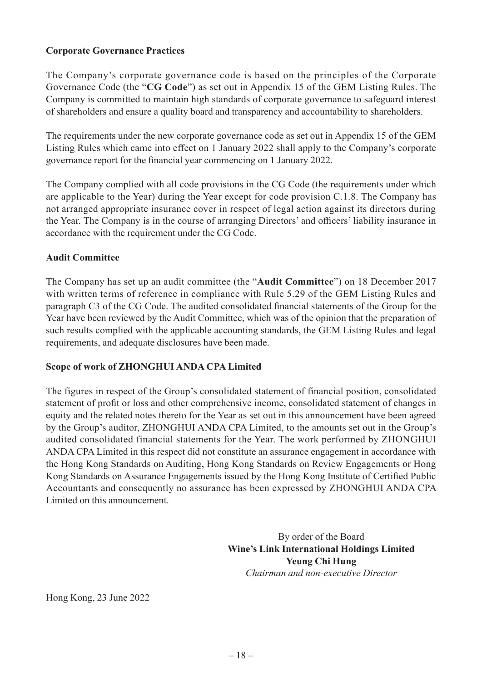## **Corporate Governance Practices**

The Company's corporate governance code is based on the principles of the Corporate Governance Code (the "**CG Code**") as set out in Appendix 15 of the GEM Listing Rules. The Company is committed to maintain high standards of corporate governance to safeguard interest of shareholders and ensure a quality board and transparency and accountability to shareholders.

The requirements under the new corporate governance code as set out in Appendix 15 of the GEM Listing Rules which came into effect on 1 January 2022 shall apply to the Company's corporate governance report for the financial year commencing on 1 January 2022.

The Company complied with all code provisions in the CG Code (the requirements under which are applicable to the Year) during the Year except for code provision C.1.8. The Company has not arranged appropriate insurance cover in respect of legal action against its directors during the Year. The Company is in the course of arranging Directors' and officers' liability insurance in accordance with the requirement under the CG Code.

## **Audit Committee**

The Company has set up an audit committee (the "**Audit Committee**") on 18 December 2017 with written terms of reference in compliance with Rule 5.29 of the GEM Listing Rules and paragraph C3 of the CG Code. The audited consolidated financial statements of the Group for the Year have been reviewed by the Audit Committee, which was of the opinion that the preparation of such results complied with the applicable accounting standards, the GEM Listing Rules and legal requirements, and adequate disclosures have been made.

## **Scope of work of ZHONGHUI ANDA CPA Limited**

The figures in respect of the Group's consolidated statement of financial position, consolidated statement of profit or loss and other comprehensive income, consolidated statement of changes in equity and the related notes thereto for the Year as set out in this announcement have been agreed by the Group's auditor, ZHONGHUI ANDA CPA Limited, to the amounts set out in the Group's audited consolidated financial statements for the Year. The work performed by ZHONGHUI ANDA CPA Limited in this respect did not constitute an assurance engagement in accordance with the Hong Kong Standards on Auditing, Hong Kong Standards on Review Engagements or Hong Kong Standards on Assurance Engagements issued by the Hong Kong Institute of Certified Public Accountants and consequently no assurance has been expressed by ZHONGHUI ANDA CPA Limited on this announcement.

> By order of the Board **Wine's Link International Holdings Limited Yeung Chi Hung** *Chairman and non-executive Director*

Hong Kong, 23 June 2022